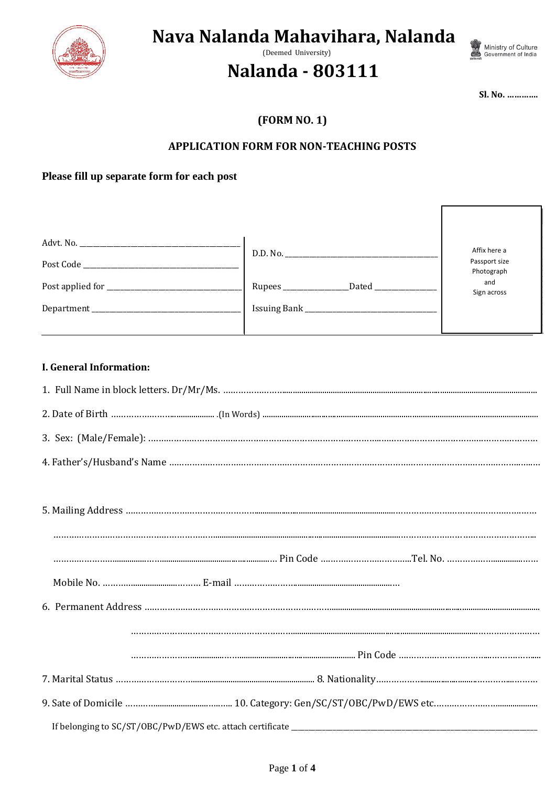

## Nava Nalanda Mahavihara, Nalanda

(Deemed University)

# **Nalanda - 803111**



Sl. No. .............

## (FORM NO. 1)

#### APPLICATION FORM FOR NON-TEACHING POSTS

## Please fill up separate form for each post

|                                      |        | Affix here a                |
|--------------------------------------|--------|-----------------------------|
| Post Code __________________________ |        | Passport size<br>Photograph |
|                                      | Rupees | and<br>Sign across          |
|                                      |        |                             |
|                                      |        |                             |

#### I. General Information: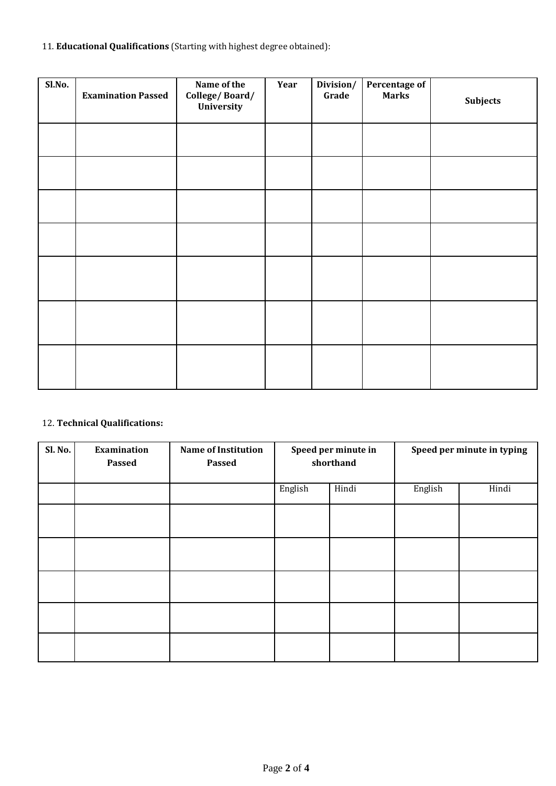### 11. **Educational Qualifications** (Starting with highest degree obtained):

| Sl.No. | <b>Examination Passed</b> | Name of the<br>College/Board/<br>University | Year | Division/<br>Grade | Percentage of<br><b>Marks</b> | <b>Subjects</b> |
|--------|---------------------------|---------------------------------------------|------|--------------------|-------------------------------|-----------------|
|        |                           |                                             |      |                    |                               |                 |
|        |                           |                                             |      |                    |                               |                 |
|        |                           |                                             |      |                    |                               |                 |
|        |                           |                                             |      |                    |                               |                 |
|        |                           |                                             |      |                    |                               |                 |
|        |                           |                                             |      |                    |                               |                 |
|        |                           |                                             |      |                    |                               |                 |

### 12. **Technical Qualifications:**

| Sl. No. | Examination<br>Passed | <b>Name of Institution</b><br>Passed | Speed per minute in<br>shorthand |       | Speed per minute in typing |       |
|---------|-----------------------|--------------------------------------|----------------------------------|-------|----------------------------|-------|
|         |                       |                                      | English                          | Hindi | English                    | Hindi |
|         |                       |                                      |                                  |       |                            |       |
|         |                       |                                      |                                  |       |                            |       |
|         |                       |                                      |                                  |       |                            |       |
|         |                       |                                      |                                  |       |                            |       |
|         |                       |                                      |                                  |       |                            |       |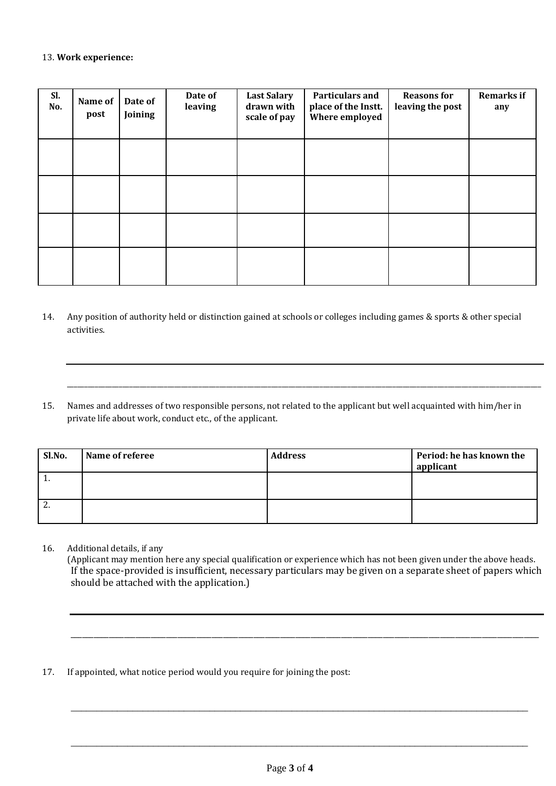#### 13. **Work experience:**

| Sl.<br>No. | Name of<br>post | Date of<br>Joining | Date of<br>leaving | <b>Last Salary</b><br>drawn with<br>scale of pay | <b>Particulars and</b><br>place of the Instt.<br>Where employed | <b>Reasons for</b><br>leaving the post | <b>Remarks if</b><br>any |
|------------|-----------------|--------------------|--------------------|--------------------------------------------------|-----------------------------------------------------------------|----------------------------------------|--------------------------|
|            |                 |                    |                    |                                                  |                                                                 |                                        |                          |
|            |                 |                    |                    |                                                  |                                                                 |                                        |                          |
|            |                 |                    |                    |                                                  |                                                                 |                                        |                          |
|            |                 |                    |                    |                                                  |                                                                 |                                        |                          |

- 14. Any position of authority held or distinction gained at schools or colleges including games & sports & other special activities.
- 15. Names and addresses of two responsible persons, not related to the applicant but well acquainted with him/her in private life about work, conduct etc., of the applicant.

\_\_\_\_\_\_\_\_\_\_\_\_\_\_\_\_\_\_\_\_\_\_\_\_\_\_\_\_\_\_\_\_\_\_\_\_\_\_\_\_\_\_\_\_\_\_\_\_\_\_\_\_\_\_\_\_\_\_\_\_\_\_\_\_\_\_\_\_\_\_\_\_\_\_\_\_\_\_\_\_\_\_\_\_\_\_\_\_\_\_\_\_\_\_\_\_\_\_\_\_\_\_\_\_\_\_\_\_\_\_\_\_\_\_\_\_\_\_\_\_\_\_\_\_\_\_\_\_\_\_\_\_\_\_\_\_\_

| Sl.No. | Name of referee | <b>Address</b> | Period: he has known the<br>applicant |
|--------|-----------------|----------------|---------------------------------------|
| 1.     |                 |                |                                       |
| 2.     |                 |                |                                       |

#### 16. Additional details, if any

(Applicant may mention here any special qualification or experience which has not been given under the above heads. If the space-provided is insufficient, necessary particulars may be given on a separate sheet of papers which should be attached with the application.)

\_\_\_\_\_\_\_\_\_\_\_\_\_\_\_\_\_\_\_\_\_\_\_\_\_\_\_\_\_\_\_\_\_\_\_\_\_\_\_\_\_\_\_\_\_\_\_\_\_\_\_\_\_\_\_\_\_\_\_\_\_\_\_\_\_\_\_\_\_\_\_\_\_\_\_\_\_\_\_\_\_\_\_\_\_\_\_\_\_\_\_\_\_\_\_\_\_\_\_\_\_\_\_\_\_\_\_\_\_\_\_\_\_\_\_\_\_\_\_\_\_\_\_

\_\_\_\_\_\_\_\_\_\_\_\_\_\_\_\_\_\_\_\_\_\_\_\_\_\_\_\_\_\_\_\_\_\_\_\_\_\_\_\_\_\_\_\_\_\_\_\_\_\_\_\_\_\_\_\_\_\_\_\_\_\_\_\_\_\_\_\_\_\_\_\_\_\_\_\_\_\_\_\_\_\_\_\_\_\_\_\_\_

\_\_\_\_\_\_\_\_\_\_\_\_\_\_\_\_\_\_\_\_\_\_\_\_\_\_\_\_\_\_\_\_\_\_\_\_\_\_\_\_\_\_\_\_\_\_\_\_\_\_\_\_\_\_\_\_\_\_\_\_\_\_\_\_\_\_\_\_\_\_\_\_\_\_\_\_\_\_\_\_\_\_\_\_\_\_\_\_\_

17. If appointed, what notice period would you require for joining the post: